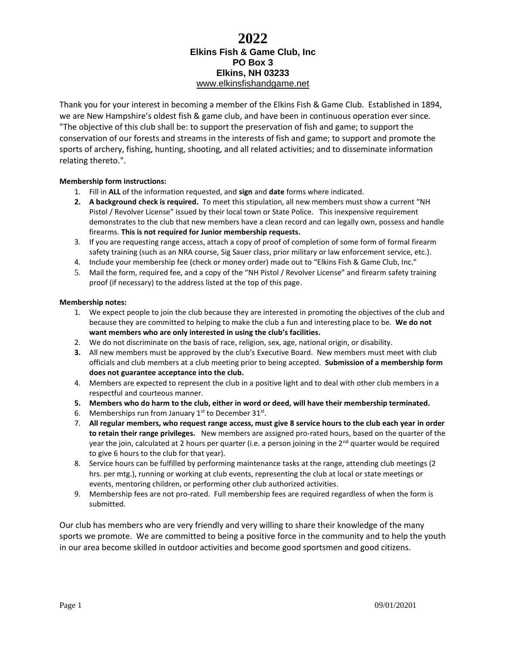# **2022 Elkins Fish & Game Club, Inc PO Box 3 Elkins, NH 03233** [www.elkinsfishandgame.net](http://www.elkinsfishandgame.net/)

Thank you for your interest in becoming a member of the Elkins Fish & Game Club. Established in 1894, we are New Hampshire's oldest fish & game club, and have been in continuous operation ever since. "The objective of this club shall be: to support the preservation of fish and game; to support the conservation of our forests and streams in the interests of fish and game; to support and promote the sports of archery, fishing, hunting, shooting, and all related activities; and to disseminate information relating thereto.".

### **Membership form instructions:**

- 1. Fill in **ALL** of the information requested, and **sign** and **date** forms where indicated.
- **2. A background check is required.** To meet this stipulation, all new members must show a current "NH Pistol / Revolver License" issued by their local town or State Police. This inexpensive requirement demonstrates to the club that new members have a clean record and can legally own, possess and handle firearms. **This is not required for Junior membership requests.**
- 3. If you are requesting range access, attach a copy of proof of completion of some form of formal firearm safety training (such as an NRA course, Sig Sauer class, prior military or law enforcement service, etc.).
- 4. Include your membership fee (check or money order) made out to "Elkins Fish & Game Club, Inc."
- 5. Mail the form, required fee, and a copy of the "NH Pistol / Revolver License" and firearm safety training proof (if necessary) to the address listed at the top of this page.

#### **Membership notes:**

- 1. We expect people to join the club because they are interested in promoting the objectives of the club and because they are committed to helping to make the club a fun and interesting place to be. **We do not want members who are only interested in using the club's facilities.**
- 2. We do not discriminate on the basis of race, religion, sex, age, national origin, or disability.
- **3.** All new members must be approved by the club's Executive Board. New members must meet with club officials and club members at a club meeting prior to being accepted. **Submission of a membership form does not guarantee acceptance into the club.**
- 4. Members are expected to represent the club in a positive light and to deal with other club members in a respectful and courteous manner.
- **5. Members who do harm to the club, either in word or deed, will have their membership terminated.**
- 6. Memberships run from January  $1^{st}$  to December  $31^{st}$ .
- 7. **All regular members, who request range access, must give 8 service hours to the club each year in order to retain their range privileges.** New members are assigned pro-rated hours, based on the quarter of the year the join, calculated at 2 hours per quarter (i.e. a person joining in the  $2^{nd}$  quarter would be required to give 6 hours to the club for that year).
- 8. Service hours can be fulfilled by performing maintenance tasks at the range, attending club meetings (2 hrs. per mtg.), running or working at club events, representing the club at local or state meetings or events, mentoring children, or performing other club authorized activities.
- 9. Membership fees are not pro-rated. Full membership fees are required regardless of when the form is submitted.

Our club has members who are very friendly and very willing to share their knowledge of the many sports we promote. We are committed to being a positive force in the community and to help the youth in our area become skilled in outdoor activities and become good sportsmen and good citizens.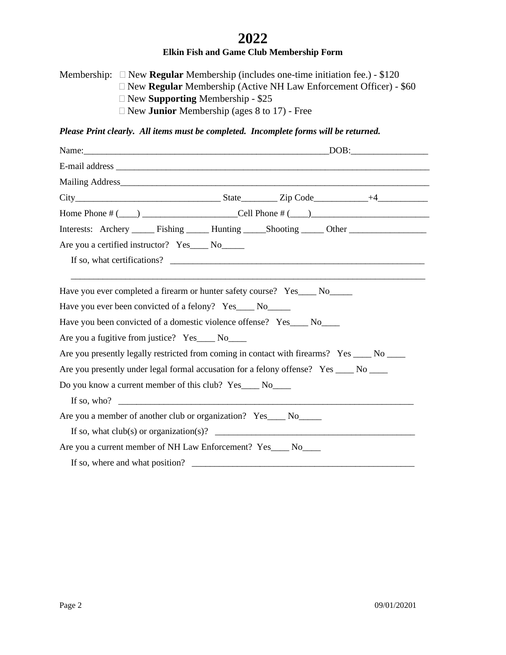# **2022**

# **Elkin Fish and Game Club Membership Form**

Membership: New **Regular** Membership (includes one-time initiation fee.) - \$120 New **Regular** Membership (Active NH Law Enforcement Officer) - \$60 New **Supporting** Membership - \$25 New **Junior** Membership (ages 8 to 17) - Free

## *Please Print clearly. All items must be completed. Incomplete forms will be returned.*

| Interests: Archery _______ Fishing _______ Hunting _______Shooting ______ Other ___________________ |  |  |  |
|-----------------------------------------------------------------------------------------------------|--|--|--|
| Are you a certified instructor? Yes____ No____<br>If so, what certifications?                       |  |  |  |
| Have you ever completed a firearm or hunter safety course? Yes____ No_____                          |  |  |  |
| Have you ever been convicted of a felony? Yes____ No_____                                           |  |  |  |
| Have you been convicted of a domestic violence offense? Yes____ No____                              |  |  |  |
| Are you a fugitive from justice? Yes_____ No_____                                                   |  |  |  |
| Are you presently legally restricted from coming in contact with firearms? Yes ____ No ____         |  |  |  |
| Are you presently under legal formal accusation for a felony offense? Yes ____ No ____              |  |  |  |
| Do you know a current member of this club? Yes____ No____                                           |  |  |  |
| If so, who? $\qquad \qquad$                                                                         |  |  |  |
| Are you a member of another club or organization? Yes____ No_____                                   |  |  |  |
| If so, what $club(s)$ or organization(s)?                                                           |  |  |  |
| Are you a current member of NH Law Enforcement? Yes____ No____                                      |  |  |  |
| If so, where and what position?                                                                     |  |  |  |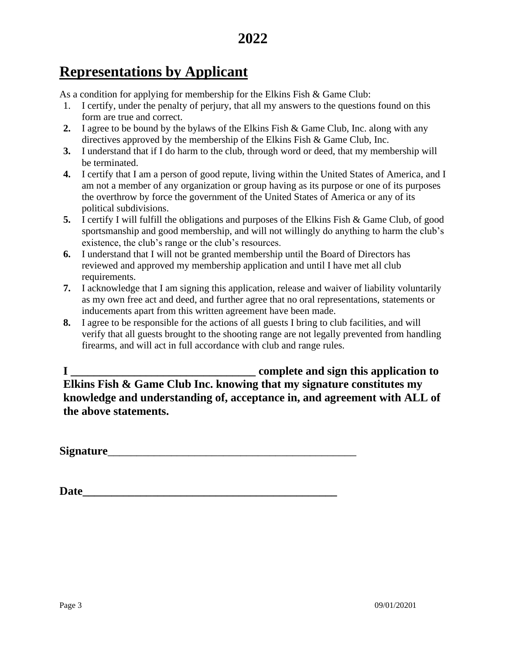# **Representations by Applicant**

As a condition for applying for membership for the Elkins Fish & Game Club:

- 1. I certify, under the penalty of perjury, that all my answers to the questions found on this form are true and correct.
- **2.** I agree to be bound by the bylaws of the Elkins Fish & Game Club, Inc. along with any directives approved by the membership of the Elkins Fish & Game Club, Inc.
- **3.** I understand that if I do harm to the club, through word or deed, that my membership will be terminated.
- **4.** I certify that I am a person of good repute, living within the United States of America, and I am not a member of any organization or group having as its purpose or one of its purposes the overthrow by force the government of the United States of America or any of its political subdivisions.
- **5.** I certify I will fulfill the obligations and purposes of the Elkins Fish & Game Club, of good sportsmanship and good membership, and will not willingly do anything to harm the club's existence, the club's range or the club's resources.
- **6.** I understand that I will not be granted membership until the Board of Directors has reviewed and approved my membership application and until I have met all club requirements.
- **7.** I acknowledge that I am signing this application, release and waiver of liability voluntarily as my own free act and deed, and further agree that no oral representations, statements or inducements apart from this written agreement have been made.
- **8.** I agree to be responsible for the actions of all guests I bring to club facilities, and will verify that all guests brought to the shooting range are not legally prevented from handling firearms, and will act in full accordance with club and range rules.

**I \_\_\_\_\_\_\_\_\_\_\_\_\_\_\_\_\_\_\_\_\_\_\_\_\_\_\_\_\_\_\_\_ complete and sign this application to Elkins Fish & Game Club Inc. knowing that my signature constitutes my knowledge and understanding of, acceptance in, and agreement with ALL of the above statements.**

**Signature**\_\_\_\_\_\_\_\_\_\_\_\_\_\_\_\_\_\_\_\_\_\_\_\_\_\_\_\_\_\_\_\_\_\_\_\_\_\_\_\_\_\_\_

**Date\_\_\_\_\_\_\_\_\_\_\_\_\_\_\_\_\_\_\_\_\_\_\_\_\_\_\_\_\_\_\_\_\_\_\_\_\_\_\_\_\_\_\_\_**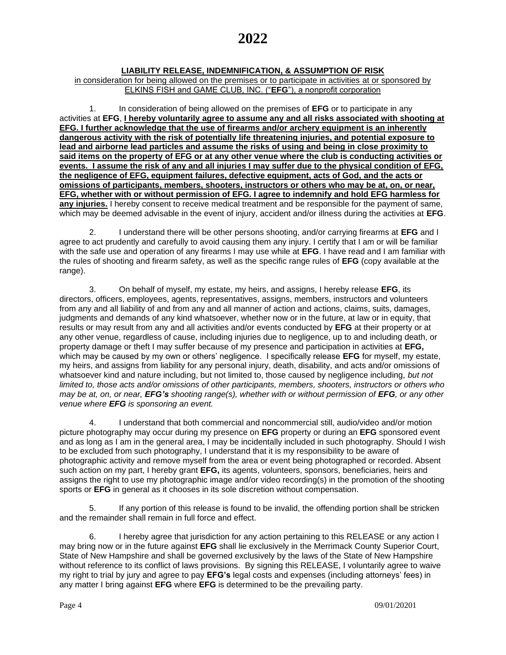# **LIABILITY RELEASE, INDEMNIFICATION, & ASSUMPTION OF RISK**

in consideration for being allowed on the premises or to participate in activities at or sponsored by ELKINS FISH and GAME CLUB, INC. ("**EFG**"), a nonprofit corporation

1. In consideration of being allowed on the premises of **EFG** or to participate in any activities at **EFG**, **I hereby voluntarily agree to assume any and all risks associated with shooting at EFG. I further acknowledge that the use of firearms and/or archery equipment is an inherently dangerous activity with the risk of potentially life threatening injuries, and potential exposure to lead and airborne lead particles and assume the risks of using and being in close proximity to said items on the property of EFG or at any other venue where the club is conducting activities or events. I assume the risk of any and all injuries I may suffer due to the physical condition of EFG, the negligence of EFG, equipment failures, defective equipment, acts of God, and the acts or omissions of participants, members, shooters, instructors or others who may be at, on, or near, EFG, whether with or without permission of EFG. I agree to indemnify and hold EFG harmless for any injuries.** I hereby consent to receive medical treatment and be responsible for the payment of same, which may be deemed advisable in the event of injury, accident and/or illness during the activities at **EFG**.

2. I understand there will be other persons shooting, and/or carrying firearms at **EFG** and I agree to act prudently and carefully to avoid causing them any injury. I certify that I am or will be familiar with the safe use and operation of any firearms I may use while at **EFG**. I have read and I am familiar with the rules of shooting and firearm safety, as well as the specific range rules of **EFG** (copy available at the range).

3. On behalf of myself, my estate, my heirs, and assigns, I hereby release **EFG**, its directors, officers, employees, agents, representatives, assigns, members, instructors and volunteers from any and all liability of and from any and all manner of action and actions, claims, suits, damages, judgments and demands of any kind whatsoever, whether now or in the future, at law or in equity, that results or may result from any and all activities and/or events conducted by **EFG** at their property or at any other venue, regardless of cause, including injuries due to negligence, up to and including death, or property damage or theft I may suffer because of my presence and participation in activities at **EFG,** which may be caused by my own or others' negligence. I specifically release **EFG** for myself, my estate, my heirs, and assigns from liability for any personal injury, death, disability, and acts and/or omissions of whatsoever kind and nature including, but not limited to, those caused by negligence including*, but not limited to, those acts and/or omissions of other participants, members, shooters, instructors or others who may be at, on, or near, <i>EFG's shooting range(s), whether with or without permission of <b><i>EFG*, or any other *venue where EFG is sponsoring an event.*

4. I understand that both commercial and noncommercial still, audio/video and/or motion picture photography may occur during my presence on **EFG** property or during an **EFG** sponsored event and as long as I am in the general area, I may be incidentally included in such photography. Should I wish to be excluded from such photography, I understand that it is my responsibility to be aware of photographic activity and remove myself from the area or event being photographed or recorded. Absent such action on my part, I hereby grant **EFG,** its agents, volunteers, sponsors, beneficiaries, heirs and assigns the right to use my photographic image and/or video recording(s) in the promotion of the shooting sports or **EFG** in general as it chooses in its sole discretion without compensation.

5. If any portion of this release is found to be invalid, the offending portion shall be stricken and the remainder shall remain in full force and effect.

6. I hereby agree that jurisdiction for any action pertaining to this RELEASE or any action I may bring now or in the future against **EFG** shall lie exclusively in the Merrimack County Superior Court, State of New Hampshire and shall be governed exclusively by the laws of the State of New Hampshire without reference to its conflict of laws provisions. By signing this RELEASE, I voluntarily agree to waive my right to trial by jury and agree to pay **EFG's** legal costs and expenses (including attorneys' fees) in any matter I bring against **EFG** where **EFG** is determined to be the prevailing party.